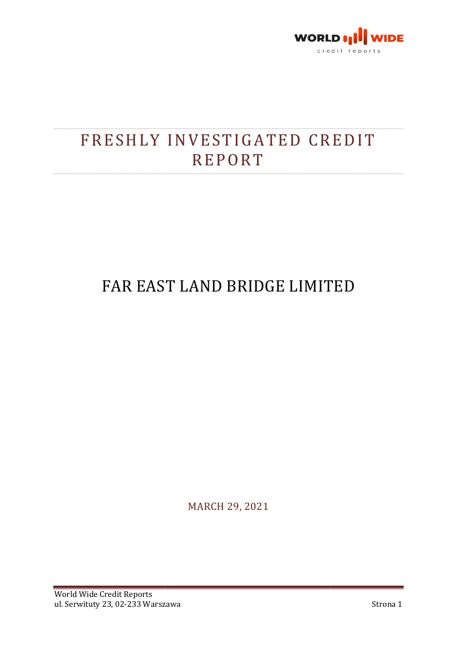

# FRESHLY INVESTIGATED CREDIT **REPORT**

## FAR EAST LAND BRIDGE FAR EAST LIMITED

MARCH 29, 2021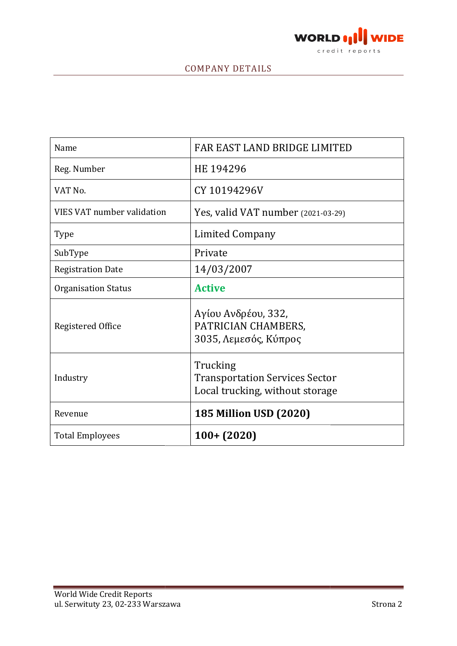

### COMPANY DETAILS

| FAR EAST LAND BRIDGE LIMITED                                                         |
|--------------------------------------------------------------------------------------|
| HE 194296                                                                            |
| CY 10194296V                                                                         |
| Yes, valid VAT number (2021-03-29)                                                   |
| <b>Limited Company</b>                                                               |
| Private                                                                              |
| 14/03/2007                                                                           |
| <b>Active</b>                                                                        |
| Αγίου Ανδρέου, 332,<br>PATRICIAN CHAMBERS,<br>3035, Λεμεσός, Κύπρος                  |
| Trucking<br><b>Transportation Services Sector</b><br>Local trucking, without storage |
| <b>185 Million USD (2020)</b>                                                        |
| $100 + (2020)$                                                                       |
|                                                                                      |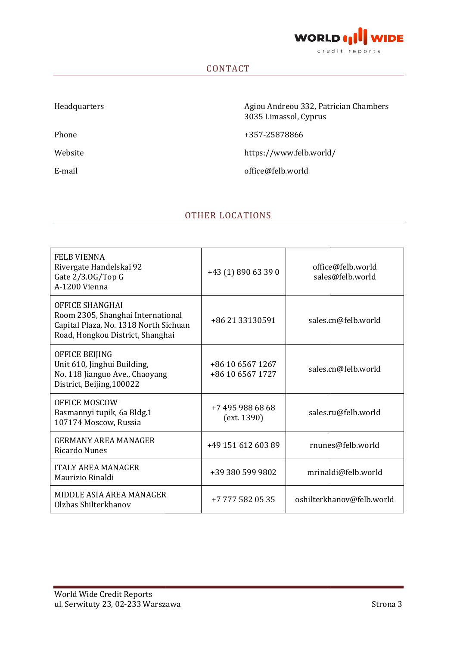

#### CONTACT

Headquarters

Phone

Website

E-mail

 Agiou Andreou 332, Patrician Chambers 3035 Limassol, Cyprus

+357-25878866

https://www.felb.world/

office@felb.world

#### OTHER LOCATIONS

| <b>FELB VIENNA</b><br>Rivergate Handelskai 92<br>Gate $2/3.0$ G/Top G<br>A-1200 Vienna                                                   | +43 (1) 890 63 39 0                  | office@felb.world<br>sales@felb.world |
|------------------------------------------------------------------------------------------------------------------------------------------|--------------------------------------|---------------------------------------|
| <b>OFFICE SHANGHAI</b><br>Room 2305, Shanghai International<br>Capital Plaza, No. 1318 North Sichuan<br>Road, Hongkou District, Shanghai | +86 21 33130591                      | sales.cn@felb.world                   |
| OFFICE BEIJING<br>Unit 610, Jinghui Building,<br>No. 118 Jianguo Ave., Chaoyang<br>District, Beijing, 100022                             | +86 10 6567 1267<br>+86 10 6567 1727 | sales.cn@felb.world                   |
| <b>OFFICE MOSCOW</b><br>Basmannyi tupik, 6a Bldg.1<br>107174 Moscow, Russia                                                              | +7 495 988 68 68<br>(ext. 1390)      | sales.ru@felb.world                   |
| <b>GERMANY AREA MANAGER</b><br><b>Ricardo Nunes</b>                                                                                      | +49 151 612 603 89                   | rnunes@felb.world                     |
| <b>ITALY AREA MANAGER</b><br>Maurizio Rinaldi                                                                                            | +39 380 599 9802                     | mrinaldi@felb.world                   |
| MIDDLE ASIA AREA MANAGER<br>Olzhas Shilterkhanov                                                                                         | +7 777 582 05 35                     | oshilterkhanov@felb.world             |